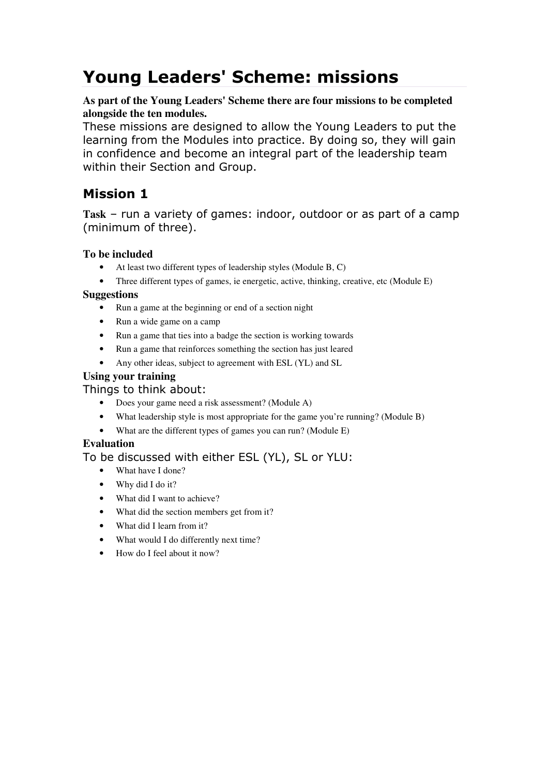# Young Leaders' Scheme: missions

### **As part of the Young Leaders' Scheme there are four missions to be completed alongside the ten modules.**

These missions are designed to allow the Young Leaders to put the learning from the Modules into practice. By doing so, they will gain in confidence and become an integral part of the leadership team within their Section and Group.

# Mission 1

**Task** – run a variety of games: indoor, outdoor or as part of a camp (minimum of three).

### **To be included**

- At least two different types of leadership styles (Module B, C)
- Three different types of games, ie energetic, active, thinking, creative, etc (Module E)

### **Suggestions**

- Run a game at the beginning or end of a section night
- Run a wide game on a camp
- Run a game that ties into a badge the section is working towards
- Run a game that reinforces something the section has just leared
- Any other ideas, subject to agreement with ESL (YL) and SL

### **Using your training**

### Things to think about:

- Does your game need a risk assessment? (Module A)
- What leadership style is most appropriate for the game you're running? (Module B)
- What are the different types of games you can run? (Module E)

### **Evaluation**

- What have I done?
- Why did I do it?
- What did I want to achieve?
- What did the section members get from it?
- What did I learn from it?
- What would I do differently next time?
- How do I feel about it now?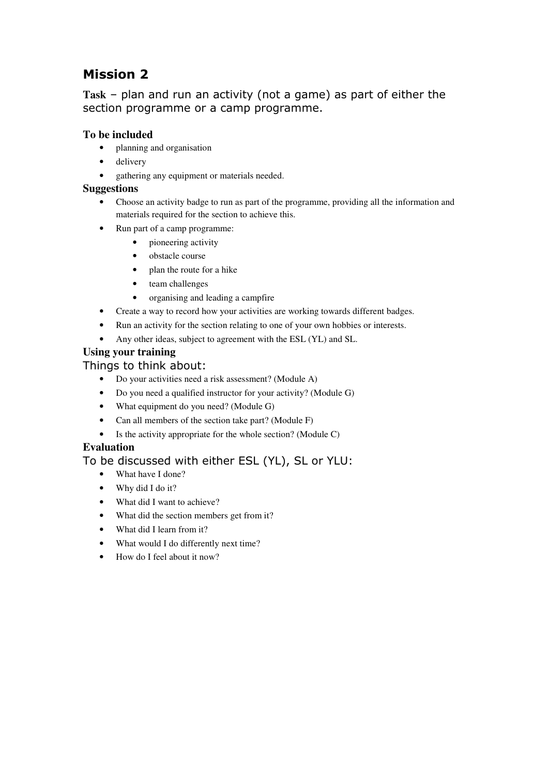# Mission 2

**Task** – plan and run an activity (not a game) as part of either the section programme or a camp programme.

### **To be included**

- planning and organisation
- delivery
- gathering any equipment or materials needed.

### **Suggestions**

- Choose an activity badge to run as part of the programme, providing all the information and materials required for the section to achieve this.
- Run part of a camp programme:
	- pioneering activity
	- obstacle course
	- plan the route for a hike
	- team challenges
	- organising and leading a campfire
- Create a way to record how your activities are working towards different badges.
- Run an activity for the section relating to one of your own hobbies or interests.
- Any other ideas, subject to agreement with the ESL (YL) and SL.

### **Using your training**

### Things to think about:

- Do your activities need a risk assessment? (Module A)
- Do you need a qualified instructor for your activity? (Module G)
- What equipment do you need? (Module G)
- Can all members of the section take part? (Module F)
- Is the activity appropriate for the whole section? (Module C)

### **Evaluation**

- What have I done?
- Why did I do it?
- What did I want to achieve?
- What did the section members get from it?
- What did I learn from it?
- What would I do differently next time?
- How do I feel about it now?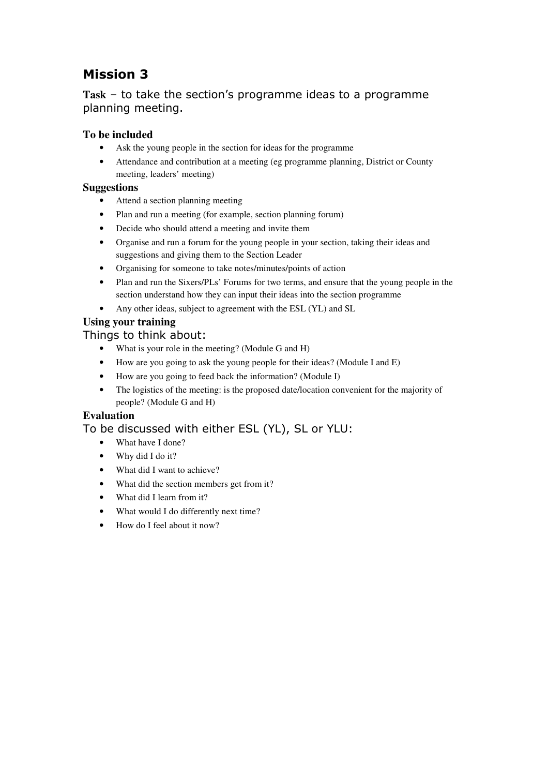# Mission 3

# **Task** – to take the section's programme ideas to a programme planning meeting.

### **To be included**

- Ask the young people in the section for ideas for the programme
- Attendance and contribution at a meeting (eg programme planning, District or County meeting, leaders' meeting)

### **Suggestions**

- Attend a section planning meeting
- Plan and run a meeting (for example, section planning forum)
- Decide who should attend a meeting and invite them
- Organise and run a forum for the young people in your section, taking their ideas and suggestions and giving them to the Section Leader
- Organising for someone to take notes/minutes/points of action
- Plan and run the Sixers/PLs' Forums for two terms, and ensure that the young people in the section understand how they can input their ideas into the section programme
- Any other ideas, subject to agreement with the ESL (YL) and SL

# **Using your training**

### Things to think about:

- What is your role in the meeting? (Module G and H)
- How are you going to ask the young people for their ideas? (Module I and E)
- How are you going to feed back the information? (Module I)
- The logistics of the meeting: is the proposed date/location convenient for the majority of people? (Module G and H)

### **Evaluation**

- What have I done?
- Why did I do it?
- What did I want to achieve?
- What did the section members get from it?
- What did I learn from it?
- What would I do differently next time?
- How do I feel about it now?